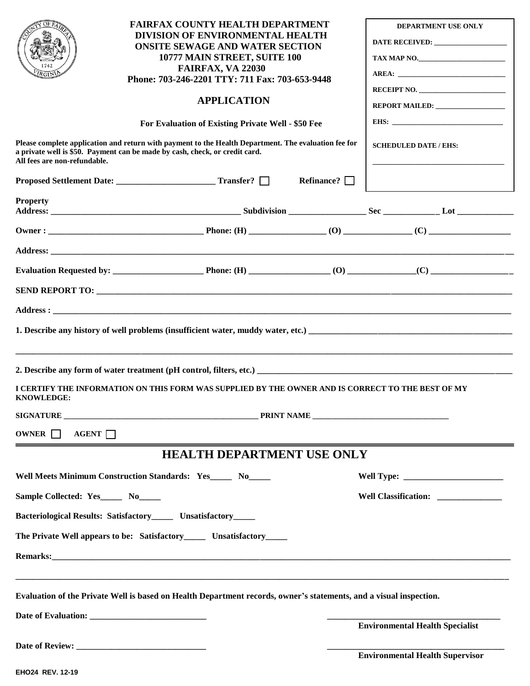|                                                                                                                                                                                                                     | <b>FAIRFAX COUNTY HEALTH DEPARTMENT</b><br>DIVISION OF ENVIRONMENTAL HEALTH<br><b>ONSITE SEWAGE AND WATER SECTION</b><br>10777 MAIN STREET, SUITE 100<br>FAIRFAX, VA 22030<br>Phone: 703-246-2201 TTY: 711 Fax: 703-653-9448   | <b>DEPARTMENT USE ONLY</b><br>TAX MAP NO.<br>RECEIPT NO. |
|---------------------------------------------------------------------------------------------------------------------------------------------------------------------------------------------------------------------|--------------------------------------------------------------------------------------------------------------------------------------------------------------------------------------------------------------------------------|----------------------------------------------------------|
|                                                                                                                                                                                                                     | <b>APPLICATION</b>                                                                                                                                                                                                             | REPORT MAILED: <b>www.painter.com/</b>                   |
| For Evaluation of Existing Private Well - \$50 Fee                                                                                                                                                                  |                                                                                                                                                                                                                                |                                                          |
| Please complete application and return with payment to the Health Department. The evaluation fee for<br>a private well is \$50. Payment can be made by cash, check, or credit card.<br>All fees are non-refundable. |                                                                                                                                                                                                                                | <b>SCHEDULED DATE / EHS:</b>                             |
|                                                                                                                                                                                                                     | Refinance? $\Box$                                                                                                                                                                                                              |                                                          |
| <b>Property</b>                                                                                                                                                                                                     |                                                                                                                                                                                                                                |                                                          |
|                                                                                                                                                                                                                     |                                                                                                                                                                                                                                |                                                          |
|                                                                                                                                                                                                                     |                                                                                                                                                                                                                                |                                                          |
|                                                                                                                                                                                                                     |                                                                                                                                                                                                                                |                                                          |
|                                                                                                                                                                                                                     |                                                                                                                                                                                                                                |                                                          |
|                                                                                                                                                                                                                     |                                                                                                                                                                                                                                |                                                          |
|                                                                                                                                                                                                                     |                                                                                                                                                                                                                                |                                                          |
| 2. Describe any form of water treatment (pH control, filters, etc.)                                                                                                                                                 |                                                                                                                                                                                                                                |                                                          |
| <b>KNOWLEDGE:</b>                                                                                                                                                                                                   | I CERTIFY THE INFORMATION ON THIS FORM WAS SUPPLIED BY THE OWNER AND IS CORRECT TO THE BEST OF MY                                                                                                                              |                                                          |
|                                                                                                                                                                                                                     | SIGNATURE PRINT NAME                                                                                                                                                                                                           |                                                          |
| OWNER $\Box$<br>AGENT                                                                                                                                                                                               |                                                                                                                                                                                                                                |                                                          |
| <b>HEALTH DEPARTMENT USE ONLY</b>                                                                                                                                                                                   |                                                                                                                                                                                                                                |                                                          |
| Well Meets Minimum Construction Standards: Yes_____ No_____                                                                                                                                                         |                                                                                                                                                                                                                                |                                                          |
| Sample Collected: Yes______ No_____                                                                                                                                                                                 |                                                                                                                                                                                                                                | Well Classification: _______________                     |
| Bacteriological Results: Satisfactory_______ Unsatisfactory______                                                                                                                                                   |                                                                                                                                                                                                                                |                                                          |
| The Private Well appears to be: Satisfactory________ Unsatisfactory_______                                                                                                                                          |                                                                                                                                                                                                                                |                                                          |
|                                                                                                                                                                                                                     | Remarks: New York School and The Community of the Community of the Community of the Community of the Community of the Community of the Community of the Community of the Community of the Community of the Community of the Co |                                                          |
| Evaluation of the Private Well is based on Health Department records, owner's statements, and a visual inspection.                                                                                                  |                                                                                                                                                                                                                                |                                                          |
|                                                                                                                                                                                                                     |                                                                                                                                                                                                                                | <b>Environmental Health Specialist</b>                   |
|                                                                                                                                                                                                                     |                                                                                                                                                                                                                                | <b>Environmental Health Supervisor</b>                   |